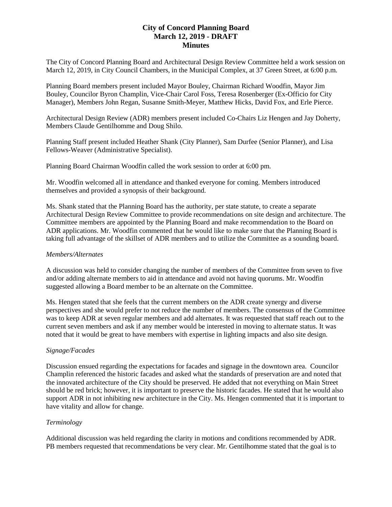# **City of Concord Planning Board March 12, 2019 - DRAFT Minutes**

The City of Concord Planning Board and Architectural Design Review Committee held a work session on March 12, 2019, in City Council Chambers, in the Municipal Complex, at 37 Green Street, at 6:00 p.m.

Planning Board members present included Mayor Bouley, Chairman Richard Woodfin, Mayor Jim Bouley, Councilor Byron Champlin, Vice-Chair Carol Foss, Teresa Rosenberger (Ex-Officio for City Manager), Members John Regan, Susanne Smith-Meyer, Matthew Hicks, David Fox, and Erle Pierce.

Architectural Design Review (ADR) members present included Co-Chairs Liz Hengen and Jay Doherty, Members Claude Gentilhomme and Doug Shilo.

Planning Staff present included Heather Shank (City Planner), Sam Durfee (Senior Planner), and Lisa Fellows-Weaver (Administrative Specialist).

Planning Board Chairman Woodfin called the work session to order at 6:00 pm.

Mr. Woodfin welcomed all in attendance and thanked everyone for coming. Members introduced themselves and provided a synopsis of their background.

Ms. Shank stated that the Planning Board has the authority, per state statute, to create a separate Architectural Design Review Committee to provide recommendations on site design and architecture. The Committee members are appointed by the Planning Board and make recommendation to the Board on ADR applications. Mr. Woodfin commented that he would like to make sure that the Planning Board is taking full advantage of the skillset of ADR members and to utilize the Committee as a sounding board.

#### *Members/Alternates*

A discussion was held to consider changing the number of members of the Committee from seven to five and/or adding alternate members to aid in attendance and avoid not having quorums. Mr. Woodfin suggested allowing a Board member to be an alternate on the Committee.

Ms. Hengen stated that she feels that the current members on the ADR create synergy and diverse perspectives and she would prefer to not reduce the number of members. The consensus of the Committee was to keep ADR at seven regular members and add alternates. It was requested that staff reach out to the current seven members and ask if any member would be interested in moving to alternate status. It was noted that it would be great to have members with expertise in lighting impacts and also site design.

### *Signage/Facades*

Discussion ensued regarding the expectations for facades and signage in the downtown area. Councilor Champlin referenced the historic facades and asked what the standards of preservation are and noted that the innovated architecture of the City should be preserved. He added that not everything on Main Street should be red brick; however, it is important to preserve the historic facades. He stated that he would also support ADR in not inhibiting new architecture in the City. Ms. Hengen commented that it is important to have vitality and allow for change.

### *Terminology*

Additional discussion was held regarding the clarity in motions and conditions recommended by ADR. PB members requested that recommendations be very clear. Mr. Gentilhomme stated that the goal is to